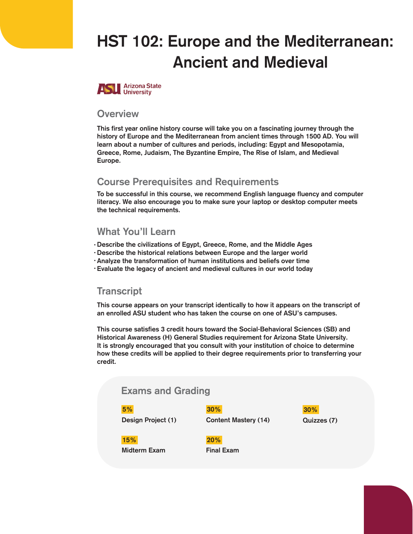# HST 102: Europe and the Mediterranean: Ancient and Medieval



#### **Overview**

This first year online history course will take you on a fascinating journey through the history of Europe and the Mediterranean from ancient times through 1500 AD. You will learn about a number of cultures and periods, including: Egypt and Mesopotamia, Greece, Rome, Judaism, The Byzantine Empire, The Rise of Islam, and Medieval Europe.

#### Course Prerequisites and Requirements

To be successful in this course, we recommend English language fluency and computer literacy. We also encourage you to make sure your laptop or desktop computer meets the technical requirements.

#### What You'll Learn

Describe the civilizations of Egypt, Greece, Rome, and the Middle Ages •

- Describe the historical relations between Europe and the larger world •
- Analyze the transformation of human institutions and beliefs over time •
- Evaluate the legacy of ancient and medieval cultures in our world today •

#### **Transcript**

This course appears on your transcript identically to how it appears on the transcript of an enrolled ASU student who has taken the course on one of ASU's campuses.

This course satisfies 3 credit hours toward the Social-Behavioral Sciences (SB) and Historical Awareness (H) General Studies requirement for Arizona State University. It is strongly encouraged that you consult with your institution of choice to determine how these credits will be applied to their degree requirements prior to transferring your credit.

## Exams and Grading

5% 30%

Design Project (1) Content Mastery (14)



15% 20%

Midterm Exam Final Exam